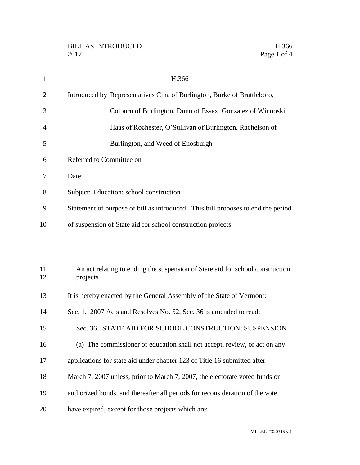| $\mathbf{1}$ | H.366                                                                                     |
|--------------|-------------------------------------------------------------------------------------------|
| 2            | Introduced by Representatives Cina of Burlington, Burke of Brattleboro,                   |
| 3            | Colburn of Burlington, Dunn of Essex, Gonzalez of Winooski,                               |
| 4            | Haas of Rochester, O'Sullivan of Burlington, Rachelson of                                 |
| 5            | Burlington, and Weed of Enosburgh                                                         |
| 6            | Referred to Committee on                                                                  |
| 7            | Date:                                                                                     |
| 8            | Subject: Education; school construction                                                   |
| 9            | Statement of purpose of bill as introduced: This bill proposes to end the period          |
| 10           | of suspension of State aid for school construction projects.                              |
|              |                                                                                           |
| 11<br>12     | An act relating to ending the suspension of State aid for school construction<br>projects |
| 13           | It is hereby enacted by the General Assembly of the State of Vermont:                     |
| 14           | Sec. 1. 2007 Acts and Resolves No. 52, Sec. 36 is amended to read:                        |
| 15           | Sec. 36. STATE AID FOR SCHOOL CONSTRUCTION; SUSPENSION                                    |
| 16           | (a) The commissioner of education shall not accept, review, or act on any                 |
| 17           | applications for state aid under chapter 123 of Title 16 submitted after                  |
| 18           | March 7, 2007 unless, prior to March 7, 2007, the electorate voted funds or               |

- authorized bonds, and thereafter all periods for reconsideration of the vote
- have expired, except for those projects which are: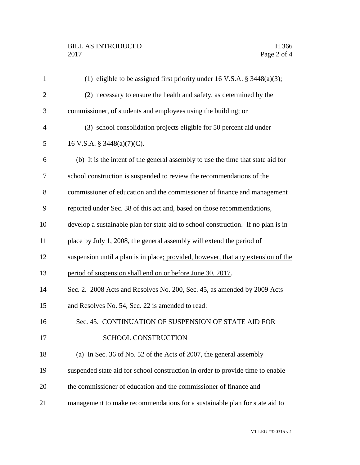| $\mathbf{1}$   | (1) eligible to be assigned first priority under 16 V.S.A. $\S$ 3448(a)(3);       |
|----------------|-----------------------------------------------------------------------------------|
| $\overline{2}$ | (2) necessary to ensure the health and safety, as determined by the               |
| 3              | commissioner, of students and employees using the building; or                    |
| $\overline{4}$ | (3) school consolidation projects eligible for 50 percent aid under               |
| 5              | 16 V.S.A. § 3448(a)(7)(C).                                                        |
| 6              | (b) It is the intent of the general assembly to use the time that state aid for   |
| 7              | school construction is suspended to review the recommendations of the             |
| 8              | commissioner of education and the commissioner of finance and management          |
| 9              | reported under Sec. 38 of this act and, based on those recommendations,           |
| 10             | develop a sustainable plan for state aid to school construction. If no plan is in |
| 11             | place by July 1, 2008, the general assembly will extend the period of             |
| 12             | suspension until a plan is in place; provided, however, that any extension of the |
| 13             | period of suspension shall end on or before June 30, 2017.                        |
| 14             | Sec. 2. 2008 Acts and Resolves No. 200, Sec. 45, as amended by 2009 Acts          |
| 15             | and Resolves No. 54, Sec. 22 is amended to read:                                  |
| 16             | Sec. 45. CONTINUATION OF SUSPENSION OF STATE AID FOR                              |
| 17             | SCHOOL CONSTRUCTION                                                               |
| 18             | (a) In Sec. 36 of No. 52 of the Acts of 2007, the general assembly                |
| 19             | suspended state aid for school construction in order to provide time to enable    |
| 20             | the commissioner of education and the commissioner of finance and                 |
| 21             | management to make recommendations for a sustainable plan for state aid to        |
|                |                                                                                   |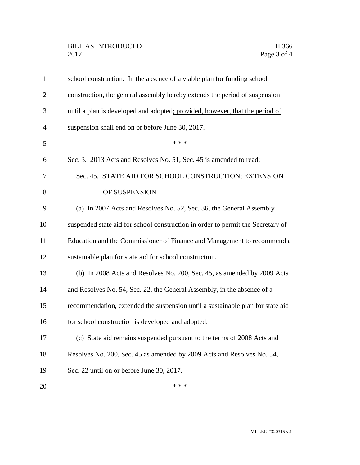| $\mathbf{1}$   | school construction. In the absence of a viable plan for funding school         |
|----------------|---------------------------------------------------------------------------------|
| $\overline{2}$ | construction, the general assembly hereby extends the period of suspension      |
| 3              | until a plan is developed and adopted; provided, however, that the period of    |
| $\overline{4}$ | suspension shall end on or before June 30, 2017.                                |
| 5              | * * *                                                                           |
| 6              | Sec. 3. 2013 Acts and Resolves No. 51, Sec. 45 is amended to read:              |
| 7              | Sec. 45. STATE AID FOR SCHOOL CONSTRUCTION; EXTENSION                           |
| 8              | OF SUSPENSION                                                                   |
| 9              | (a) In 2007 Acts and Resolves No. 52, Sec. 36, the General Assembly             |
| 10             | suspended state aid for school construction in order to permit the Secretary of |
| 11             | Education and the Commissioner of Finance and Management to recommend a         |
| 12             | sustainable plan for state aid for school construction.                         |
| 13             | (b) In 2008 Acts and Resolves No. 200, Sec. 45, as amended by 2009 Acts         |
| 14             | and Resolves No. 54, Sec. 22, the General Assembly, in the absence of a         |
| 15             | recommendation, extended the suspension until a sustainable plan for state aid  |
| 16             | for school construction is developed and adopted.                               |
| 17             | (c) State aid remains suspended pursuant to the terms of 2008 Acts and          |
| 18             | Resolves No. 200, Sec. 45 as amended by 2009 Acts and Resolves No. 54,          |
| 19             | Sec. 22 until on or before June 30, 2017.                                       |
| 20             | * * *                                                                           |